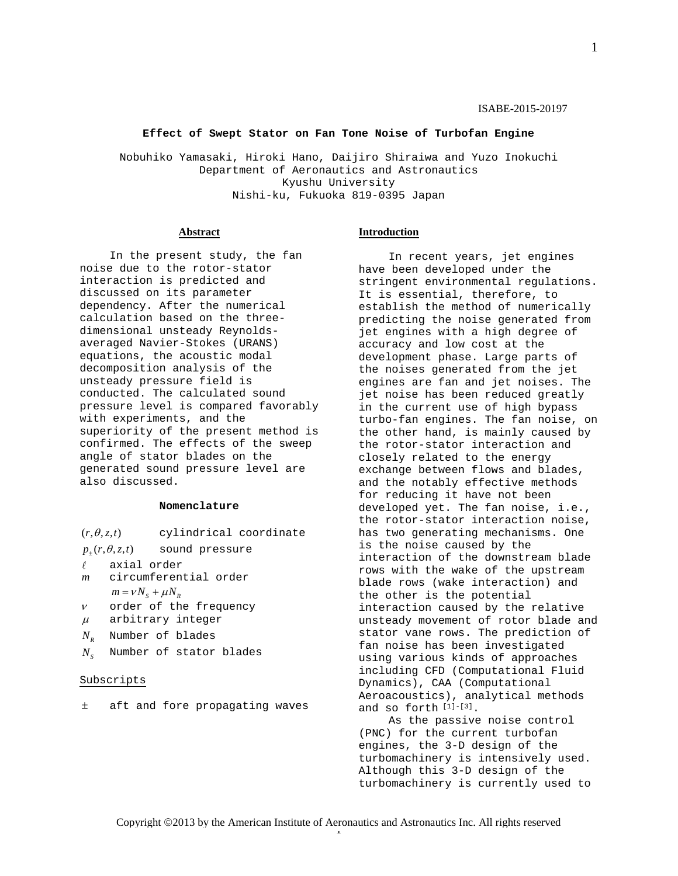1

### **Effect of Swept Stator on Fan Tone Noise of Turbofan Engine**

Nobuhiko Yamasaki, Hiroki Hano, Daijiro Shiraiwa and Yuzo Inokuchi Department of Aeronautics and Astronautics Kyushu University Nishi-ku, Fukuoka 819-0395 Japan

## **Abstract**

In the present study, the fan noise due to the rotor-stator interaction is predicted and discussed on its parameter dependency. After the numerical calculation based on the threedimensional unsteady Reynoldsaveraged Navier-Stokes (URANS) equations, the acoustic modal decomposition analysis of the unsteady pressure field is conducted. The calculated sound pressure level is compared favorably with experiments, and the superiority of the present method is confirmed. The effects of the sweep angle of stator blades on the generated sound pressure level are also discussed.

### **Nomenclature**

- $p_+(r, \theta, z, t)$  sound pressure
- $\ell$  axial order<br>m circumferen
- *m* circumferential order  $m = v N_s + \mu N_p$
- $\nu$  order of the frequency
- $\mu$  arbitrary integer
- *NR* Number of blades
- *N<sub>s</sub>* Number of stator blades

## Subscripts

± aft and fore propagating waves

## **Introduction**

In recent years, jet engines have been developed under the stringent environmental regulations. It is essential, therefore, to establish the method of numerically predicting the noise generated from jet engines with a high degree of accuracy and low cost at the development phase. Large parts of the noises generated from the jet engines are fan and jet noises. The jet noise has been reduced greatly in the current use of high bypass turbo-fan engines. The fan noise, on the other hand, is mainly caused by the rotor-stator interaction and closely related to the energy exchange between flows and blades, and the notably effective methods for reducing it have not been developed yet. The fan noise, i.e., the rotor-stator interaction noise, has two generating mechanisms. One is the noise caused by the interaction of the downstream blade rows with the wake of the upstream blade rows (wake interaction) and the other is the potential interaction caused by the relative unsteady movement of rotor blade and stator vane rows. The prediction of fan noise has been investigated using various kinds of approaches including CFD (Computational Fluid Dynamics), CAA (Computational Aeroacoustics), analytical methods and so forth [1]-[3].

As the passive noise control (PNC) for the current turbofan engines, the 3-D design of the turbomachinery is intensively used. Although this 3-D design of the turbomachinery is currently used to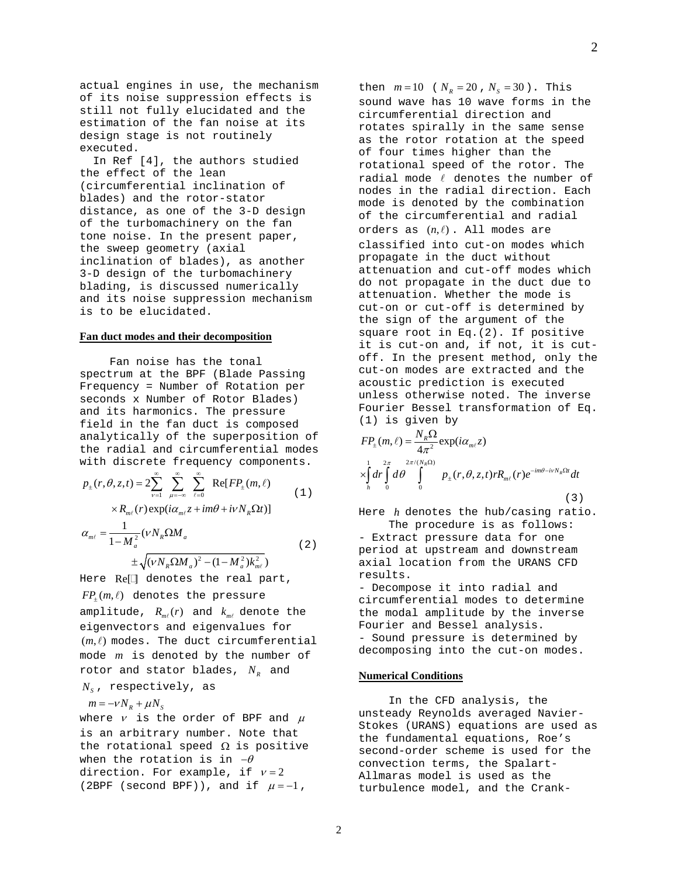actual engines in use, the mechanism of its noise suppression effects is still not fully elucidated and the estimation of the fan noise at its design stage is not routinely executed.

 In Ref [4], the authors studied the effect of the lean (circumferential inclination of blades) and the rotor-stator distance, as one of the 3-D design of the turbomachinery on the fan tone noise. In the present paper, the sweep geometry (axial inclination of blades), as another 3-D design of the turbomachinery blading, is discussed numerically and its noise suppression mechanism is to be elucidated.

### **Fan duct modes and their decomposition**

Fan noise has the tonal spectrum at the BPF (Blade Passing Frequency = Number of Rotation per seconds x Number of Rotor Blades) and its harmonics. The pressure field in the fan duct is composed analytically of the superposition of the radial and circumferential modes with discrete frequency components.

$$
p_{\pm}(r,\theta,z,t) = 2\sum_{\nu=1}^{\infty} \sum_{\mu=-\infty}^{\infty} \sum_{\ell=0}^{\infty} \text{Re}[FP_{\pm}(m,\ell)] \qquad (1)
$$

 $\times R_{m\ell}(r) \exp(i\alpha_{m\ell} z + im\theta + i\nu N_{R} \Omega t)]$ 

$$
\alpha_{m\ell} = \frac{1}{1 - M_a^2} (\nu N_R \Omega M_a
$$
  

$$
\pm \sqrt{(\nu N_R \Omega M_a)^2 - (1 - M_a^2) k_{m\ell}^2}
$$
 (2)

Here  $Re[]$  denotes the real part,  $FP_{+}(m, \ell)$  denotes the pressure amplitude,  $R_{m\ell}(r)$  and  $k_{m\ell}$  denote the eigenvectors and eigenvalues for  $(m, l)$  modes. The duct circumferential mode *m* is denoted by the number of rotor and stator blades,  $N_R$  and

# $N_s$ , respectively, as

 $m = -vN_R + \mu N_S$ 

where  $v$  is the order of BPF and  $\mu$ is an arbitrary number. Note that the rotational speed  $\Omega$  is positive when the rotation is in  $-\theta$ direction. For example, if  $v = 2$ (2BPF (second BPF)), and if  $\mu = -1$ ,

then  $m = 10$  (  $N_R = 20$ ,  $N_S = 30$ ). This sound wave has 10 wave forms in the circumferential direction and rotates spirally in the same sense as the rotor rotation at the speed of four times higher than the rotational speed of the rotor. The radial mode  $\ell$  denotes the number of nodes in the radial direction. Each mode is denoted by the combination of the circumferential and radial orders as  $(n, l)$ . All modes are classified into cut-on modes which propagate in the duct without attenuation and cut-off modes which do not propagate in the duct due to attenuation. Whether the mode is cut-on or cut-off is determined by the sign of the argument of the square root in Eq.(2). If positive it is cut-on and, if not, it is cutoff. In the present method, only the cut-on modes are extracted and the acoustic prediction is executed unless otherwise noted. The inverse Fourier Bessel transformation of Eq. (1) is given by

$$
FP_{\pm}(m,\ell) = \frac{N_{R}\Omega}{4\pi^{2}} \exp(i\alpha_{m\ell}z)
$$
  
\n
$$
\times \int_{h}^{1} dr \int_{0}^{2\pi} d\theta \int_{0}^{2\pi/(N_{R}\Omega)} p_{\pm}(r,\theta,z,t) r R_{m\ell}(r) e^{-im\theta - ivN_{R}\Omega t} dt
$$
\n(3)

Here *h* denotes the hub/casing ratio. The procedure is as follows:

- Extract pressure data for one period at upstream and downstream axial location from the URANS CFD results.

- Decompose it into radial and circumferential modes to determine the modal amplitude by the inverse Fourier and Bessel analysis. - Sound pressure is determined by decomposing into the cut-on modes.

### **Numerical Conditions**

In the CFD analysis, the unsteady Reynolds averaged Navier-Stokes (URANS) equations are used as the fundamental equations, Roe's second-order scheme is used for the convection terms, the Spalart-Allmaras model is used as the turbulence model, and the Crank-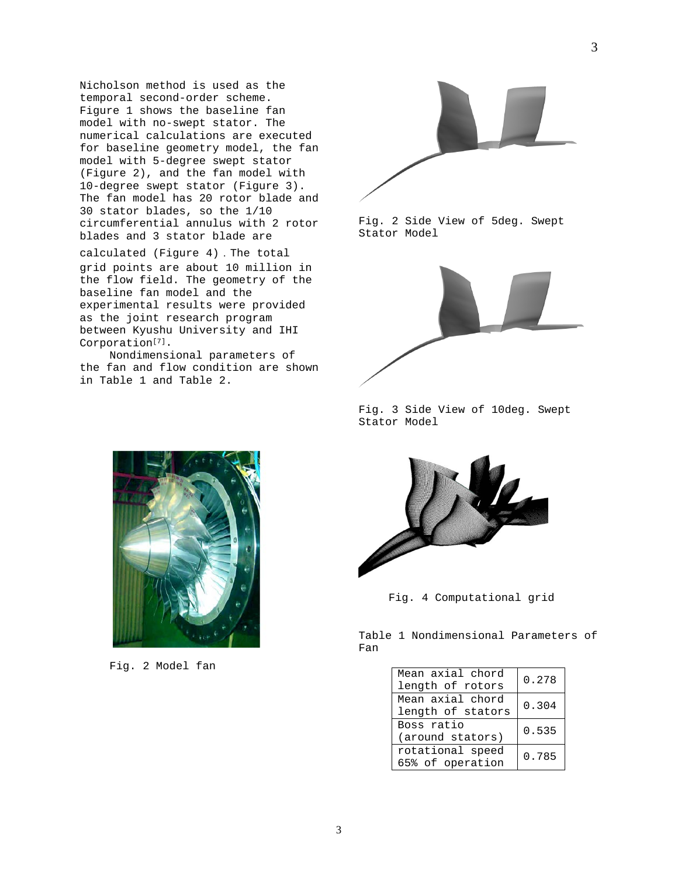Nicholson method is used as the temporal second-order scheme. Figure 1 shows the baseline fan model with no-swept stator. The numerical calculations are executed for baseline geometry model, the fan model with 5-degree swept stator (Figure 2), and the fan model with 10-degree swept stator (Figure 3). The fan model has 20 rotor blade and 30 stator blades, so the 1/10 circumferential annulus with 2 rotor blades and 3 stator blade are

calculated (Figure 4).The total grid points are about 10 million in the flow field. The geometry of the baseline fan model and the experimental results were provided as the joint research program between Kyushu University and IHI Corporation<sup>[7]</sup>.

Nondimensional parameters of the fan and flow condition are shown in Table 1 and Table 2.



Fig. 2 Side View of 5deg. Swept Stator Model



Fig. 3 Side View of 10deg. Swept Stator Model



Fig. 4 Computational grid

Table 1 Nondimensional Parameters of Fan

| Mean axial chord<br>length of rotors  | 0.278 |
|---------------------------------------|-------|
| Mean axial chord<br>length of stators | 0.304 |
| Boss ratio<br>(around stators)        | 0.535 |
| rotational speed<br>65% of operation  | 0.785 |



Fig. 2 Model fan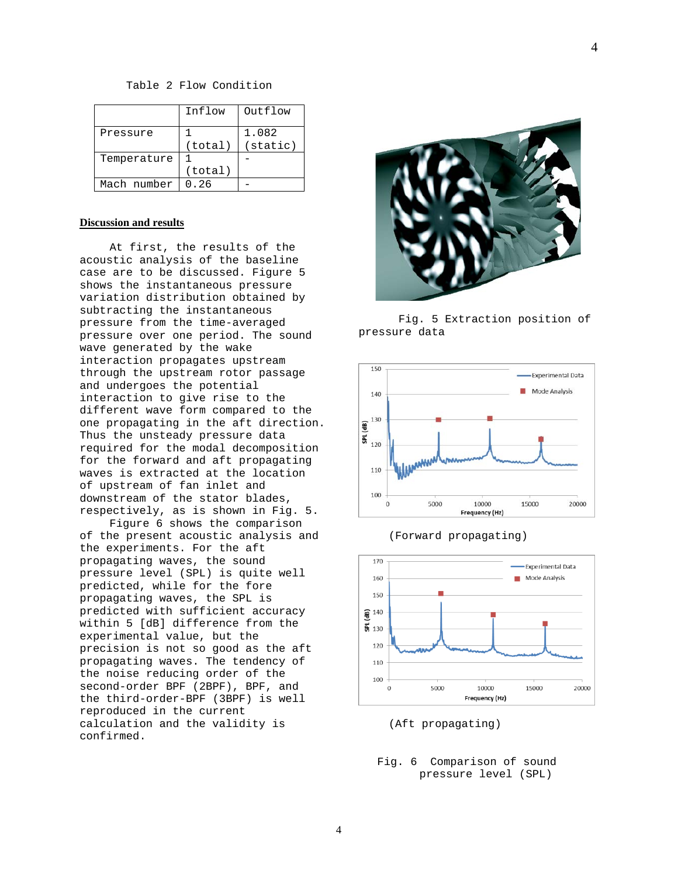Table 2 Flow Condition

|             | Inflow  | Outflow            |
|-------------|---------|--------------------|
| Pressure    |         | 1.082              |
|             | (total) | $(s \text{tatic})$ |
| Temperature |         |                    |
|             | (total) |                    |
| Mach number | 0.26    |                    |

### **Discussion and results**

At first, the results of the acoustic analysis of the baseline case are to be discussed. Figure 5 shows the instantaneous pressure variation distribution obtained by subtracting the instantaneous pressure from the time-averaged pressure over one period. The sound wave generated by the wake interaction propagates upstream through the upstream rotor passage and undergoes the potential interaction to give rise to the different wave form compared to the one propagating in the aft direction. Thus the unsteady pressure data required for the modal decomposition for the forward and aft propagating waves is extracted at the location of upstream of fan inlet and downstream of the stator blades, respectively, as is shown in Fig. 5.

Figure 6 shows the comparison of the present acoustic analysis and the experiments. For the aft propagating waves, the sound pressure level (SPL) is quite well predicted, while for the fore propagating waves, the SPL is predicted with sufficient accuracy within 5 [dB] difference from the experimental value, but the precision is not so good as the aft propagating waves. The tendency of the noise reducing order of the second-order BPF (2BPF), BPF, and the third-order-BPF (3BPF) is well reproduced in the current calculation and the validity is confirmed.



Fig. 5 Extraction position of pressure data





(Forward propagating)

(Aft propagating)

Fig. 6 Comparison of sound pressure level (SPL)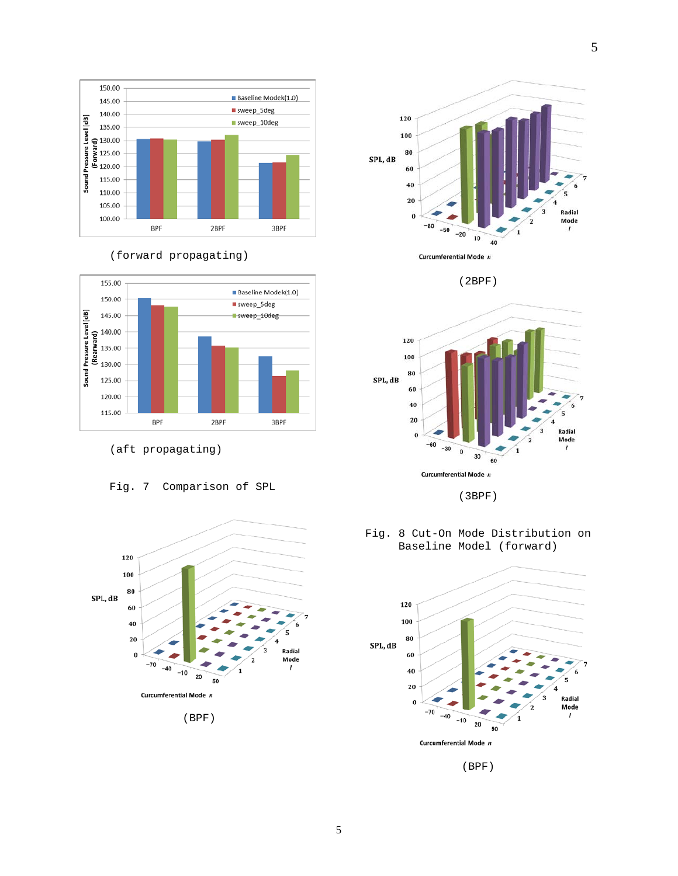





(aft propagating)











(3BPF)



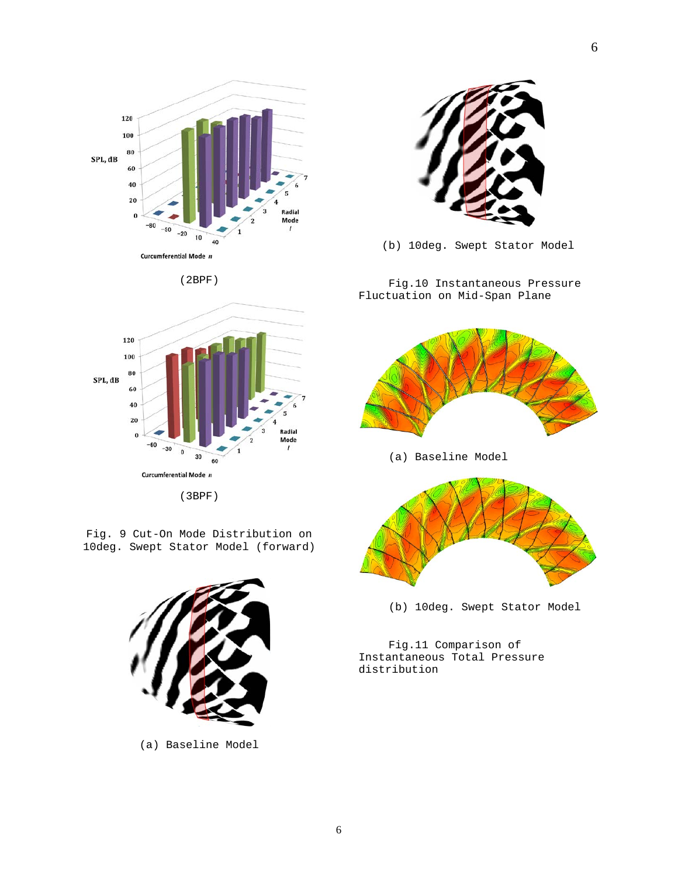





Fig. 9 Cut-On Mode Distribution on 10deg. Swept Stator Model (forward)



(a) Baseline Model



(b) 10deg. Swept Stator Model

Fig.10 Instantaneous Pressure Fluctuation on Mid-Span Plane



(b) 10deg. Swept Stator Model

Fig.11 Comparison of Instantaneous Total Pressure distribution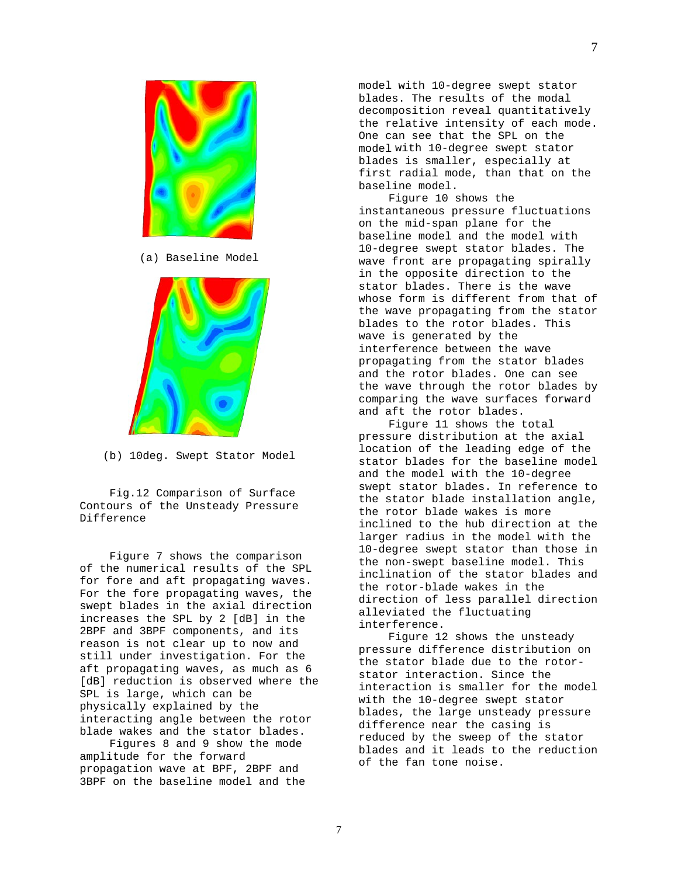model with 10-degree swept stator blades. The results of the modal decomposition reveal quantitatively the relative intensity of each mode. One can see that the SPL on the model with 10-degree swept stator blades is smaller, especially at first radial mode, than that on the baseline model. Figure 10 shows the

instantaneous pressure fluctuations on the mid-span plane for the baseline model and the model with 10-degree swept stator blades. The wave front are propagating spirally in the opposite direction to the stator blades. There is the wave whose form is different from that of the wave propagating from the stator blades to the rotor blades. This wave is generated by the interference between the wave propagating from the stator blades and the rotor blades. One can see the wave through the rotor blades by comparing the wave surfaces forward and aft the rotor blades.

Figure 11 shows the total pressure distribution at the axial location of the leading edge of the stator blades for the baseline model and the model with the 10-degree swept stator blades. In reference to the stator blade installation angle, the rotor blade wakes is more inclined to the hub direction at the larger radius in the model with the 10-degree swept stator than those in the non-swept baseline model. This inclination of the stator blades and the rotor-blade wakes in the direction of less parallel direction alleviated the fluctuating interference.

Figure 12 shows the unsteady pressure difference distribution on the stator blade due to the rotorstator interaction. Since the interaction is smaller for the model with the 10-degree swept stator blades, the large unsteady pressure difference near the casing is reduced by the sweep of the stator blades and it leads to the reduction of the fan tone noise.

(a) Baseline Model



(b) 10deg. Swept Stator Model

Fig.12 Comparison of Surface Contours of the Unsteady Pressure Difference

Figure 7 shows the comparison of the numerical results of the SPL for fore and aft propagating waves. For the fore propagating waves, the swept blades in the axial direction increases the SPL by 2 [dB] in the 2BPF and 3BPF components, and its reason is not clear up to now and still under investigation. For the aft propagating waves, as much as 6 [dB] reduction is observed where the SPL is large, which can be physically explained by the interacting angle between the rotor blade wakes and the stator blades.

Figures 8 and 9 show the mode amplitude for the forward propagation wave at BPF, 2BPF and 3BPF on the baseline model and the

7